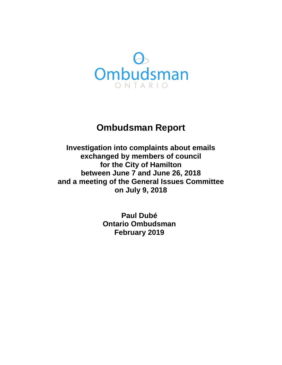

# **Ombudsman Report**

**Investigation into complaints about emails exchanged by members of council for the City of Hamilton between June 7 and June 26, 2018 and a meeting of the General Issues Committee on July 9, 2018** 

> **Paul Dubé Ontario Ombudsman February 2019**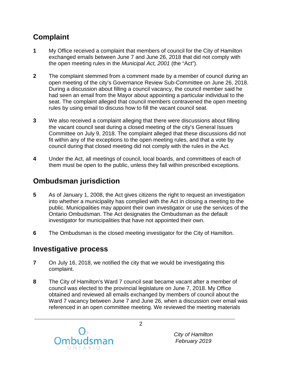# **Complaint**

- **1** My Office received a complaint that members of council for the City of Hamilton exchanged emails between June 7 and June 26, 2018 that did not comply with the open meeting rules in the *Municipal Act, 2001* (the "Act").
- **2** The complaint stemmed from a comment made by a member of council during an open meeting of the city's Governance Review Sub-Committee on June 26, 2018. During a discussion about filling a council vacancy, the council member said he had seen an email from the Mayor about appointing a particular individual to the seat. The complaint alleged that council members contravened the open meeting rules by using email to discuss how to fill the vacant council seat.
- **3** We also received a complaint alleging that there were discussions about filling the vacant council seat during a closed meeting of the city's General Issues Committee on July 9, 2018. The complaint alleged that these discussions did not fit within any of the exceptions to the open meeting rules, and that a vote by council during that closed meeting did not comply with the rules in the Act.
- **4** Under the Act, all meetings of council, local boards, and committees of each of them must be open to the public, unless they fall within prescribed exceptions.

## **Ombudsman jurisdiction**

- **5** As of January 1, 2008, the Act gives citizens the right to request an investigation into whether a municipality has complied with the Act in closing a meeting to the public. Municipalities may appoint their own investigator or use the services of the Ontario Ombudsman. The Act designates the Ombudsman as the default investigator for municipalities that have not appointed their own.
- **6** The Ombudsman is the closed meeting investigator for the City of Hamilton.

### **Investigative process**

- **7** On July 16, 2018, we notified the city that we would be investigating this complaint.
- **8** The City of Hamilton's Ward 7 council seat became vacant after a member of council was elected to the provincial legislature on June 7, 2018. My Office obtained and reviewed all emails exchanged by members of council about the Ward 7 vacancy between June 7 and June 26, when a discussion over email was referenced in an open committee meeting. We reviewed the meeting materials

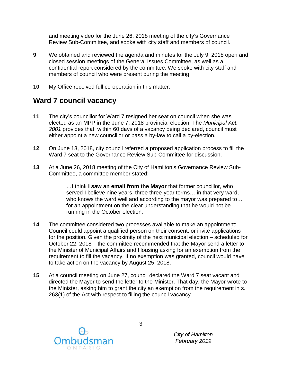and meeting video for the June 26, 2018 meeting of the city's Governance Review Sub-Committee, and spoke with city staff and members of council.

- **9** We obtained and reviewed the agenda and minutes for the July 9, 2018 open and closed session meetings of the General Issues Committee, as well as a confidential report considered by the committee. We spoke with city staff and members of council who were present during the meeting.
- **10** My Office received full co-operation in this matter.

### **Ward 7 council vacancy**

- **11** The city's councillor for Ward 7 resigned her seat on council when she was elected as an MPP in the June 7, 2018 provincial election. The *Municipal Act, 2001* provides that, within 60 days of a vacancy being declared, council must either appoint a new councillor or pass a by-law to call a by-election.
- **12** On June 13, 2018, city council referred a proposed application process to fill the Ward 7 seat to the Governance Review Sub-Committee for discussion.
- **13** At a June 26, 2018 meeting of the City of Hamilton's Governance Review Sub-Committee, a committee member stated:

…I think **I saw an email from the Mayor** that former councillor, who served I believe nine years, three three-year terms… in that very ward, who knows the ward well and according to the mayor was prepared to… for an appointment on the clear understanding that he would not be running in the October election.

- **14** The committee considered two processes available to make an appointment: Council could appoint a qualified person on their consent, or invite applications for the position. Given the proximity of the next municipal election – scheduled for October 22, 2018 – the committee recommended that the Mayor send a letter to the Minister of Municipal Affairs and Housing asking for an exemption from the requirement to fill the vacancy. If no exemption was granted, council would have to take action on the vacancy by August 25, 2018.
- **15** At a council meeting on June 27, council declared the Ward 7 seat vacant and directed the Mayor to send the letter to the Minister. That day, the Mayor wrote to the Minister, asking him to grant the city an exemption from the requirement in s. 263(1) of the Act with respect to filling the council vacancy.

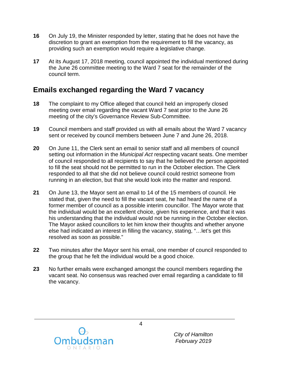- **16** On July 19, the Minister responded by letter, stating that he does not have the discretion to grant an exemption from the requirement to fill the vacancy, as providing such an exemption would require a legislative change.
- **17** At its August 17, 2018 meeting, council appointed the individual mentioned during the June 26 committee meeting to the Ward 7 seat for the remainder of the council term.

### **Emails exchanged regarding the Ward 7 vacancy**

- **18** The complaint to my Office alleged that council held an improperly closed meeting over email regarding the vacant Ward 7 seat prior to the June 26 meeting of the city's Governance Review Sub-Committee.
- **19** Council members and staff provided us with all emails about the Ward 7 vacancy sent or received by council members between June 7 and June 26, 2018.
- **20** On June 11, the Clerk sent an email to senior staff and all members of council setting out information in the *Municipal Act* respecting vacant seats. One member of council responded to all recipients to say that he believed the person appointed to fill the seat should not be permitted to run in the October election. The Clerk responded to all that she did not believe council could restrict someone from running in an election, but that she would look into the matter and respond.
- **21** On June 13, the Mayor sent an email to 14 of the 15 members of council. He stated that, given the need to fill the vacant seat, he had heard the name of a former member of council as a possible interim councillor. The Mayor wrote that the individual would be an excellent choice, given his experience, and that it was his understanding that the individual would not be running in the October election. The Mayor asked councillors to let him know their thoughts and whether anyone else had indicated an interest in filling the vacancy, stating, "…let's get this resolved as soon as possible."
- **22** Two minutes after the Mayor sent his email, one member of council responded to the group that he felt the individual would be a good choice.
- **23** No further emails were exchanged amongst the council members regarding the vacant seat. No consensus was reached over email regarding a candidate to fill the vacancy.



*City of Hamilton February 2019*

4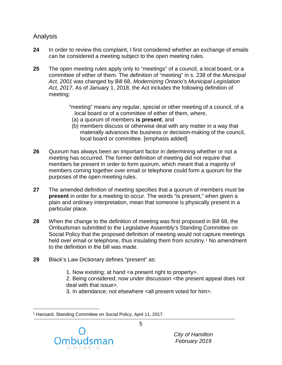#### Analysis

- **24** In order to review this complaint, I first considered whether an exchange of emails can be considered a meeting subject to the open meeting rules.
- **25** The open meeting rules apply only to "meetings" of a council, a local board, or a committee of either of them. The definition of "meeting" in s. 238 of the *Municipal Act, 2001* was changed by Bill 68, *Modernizing Ontario's Municipal Legislation Act, 2017*. As of January 1, 2018, the Act includes the following definition of meeting:

"meeting" means any regular, special or other meeting of a council, of a local board or of a committee of either of them, where,

- (a) a quorum of members **is present**, and
- (b) members discuss or otherwise deal with any matter in a way that materially advances the business or decision-making of the council, local board or committee. [emphasis added]
- **26** Quorum has always been an important factor in determining whether or not a meeting has occurred. The former definition of meeting did not require that members be present in order to form quorum, which meant that a majority of members coming together over email or telephone could form a quorum for the purposes of the open meeting rules.
- **27** The amended definition of meeting specifies that a quorum of members must be **present** in order for a meeting to occur. The words "is present," when given a plain and ordinary interpretation, mean that someone is physically present in a particular place.
- **28** When the change to the definition of meeting was first proposed in Bill 68, the Ombudsman submitted to the Legislative Assembly's Standing Committee on Social Policy that the proposed definition of meeting would not capture meetings held over email or telephone, thus insulating them from scrutiny.<sup>[1](#page-4-0)</sup> No amendment to the definition in the bill was made.
- **29** Black's Law Dictionary defines "present" as:
	- 1. Now existing; at hand <a present right to property>.

2. Being considered; now under discussion <the present appeal does not deal with that issue>.

3. In attendance; not elsewhere <all present voted for him>.

<span id="page-4-0"></span><sup>1</sup> Hansard, Standing Committee on Social Policy, April 11, 2017.



 $\overline{a}$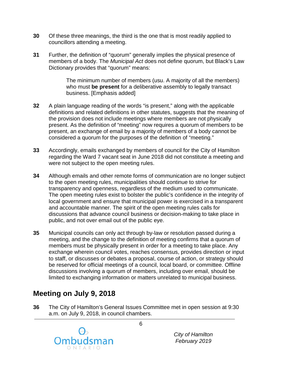- **30** Of these three meanings, the third is the one that is most readily applied to councillors attending a meeting.
- **31** Further, the definition of "quorum" generally implies the physical presence of members of a body. The *Municipal Act* does not define quorum, but Black's Law Dictionary provides that "quorum" means:

The minimum number of members (usu. A majority of all the members) who must **be present** for a deliberative assembly to legally transact business. [Emphasis added]

- **32** A plain language reading of the words "is present," along with the applicable definitions and related definitions in other statutes, suggests that the meaning of the provision does not include meetings where members are not physically present. As the definition of "meeting" now requires a quorum of members to be present, an exchange of email by a majority of members of a body cannot be considered a quorum for the purposes of the definition of "meeting."
- **33** Accordingly, emails exchanged by members of council for the City of Hamilton regarding the Ward 7 vacant seat in June 2018 did not constitute a meeting and were not subject to the open meeting rules.
- **34** Although emails and other remote forms of communication are no longer subject to the open meeting rules, municipalities should continue to strive for transparency and openness, regardless of the medium used to communicate. The open meeting rules exist to bolster the public's confidence in the integrity of local government and ensure that municipal power is exercised in a transparent and accountable manner. The spirit of the open meeting rules calls for discussions that advance council business or decision-making to take place in public, and not over email out of the public eye.
- **35** Municipal councils can only act through by-law or resolution passed during a meeting, and the change to the definition of meeting confirms that a quorum of members must be physically present in order for a meeting to take place. Any exchange wherein council votes, reaches consensus, provides direction or input to staff, or discusses or debates a proposal, course of action, or strategy should be reserved for official meetings of a council, local board, or committee. Offline discussions involving a quorum of members, including over email, should be limited to exchanging information or matters unrelated to municipal business.

### **Meeting on July 9, 2018**

**36** The City of Hamilton's General Issues Committee met in open session at 9:30 a.m. on July 9, 2018, in council chambers.



*City of Hamilton February 2019*

6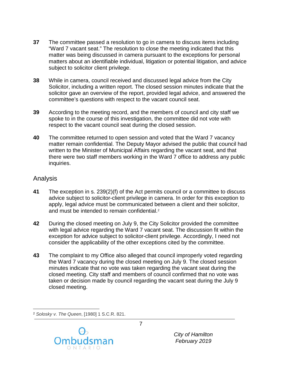- **37** The committee passed a resolution to go in camera to discuss items including "Ward 7 vacant seat." The resolution to close the meeting indicated that this matter was being discussed in camera pursuant to the exceptions for personal matters about an identifiable individual, litigation or potential litigation, and advice subject to solicitor client privilege.
- **38** While in camera, council received and discussed legal advice from the City Solicitor, including a written report. The closed session minutes indicate that the solicitor gave an overview of the report, provided legal advice, and answered the committee's questions with respect to the vacant council seat.
- **39** According to the meeting record, and the members of council and city staff we spoke to in the course of this investigation, the committee did not vote with respect to the vacant council seat during the closed session.
- **40** The committee returned to open session and voted that the Ward 7 vacancy matter remain confidential. The Deputy Mayor advised the public that council had written to the Minister of Municipal Affairs regarding the vacant seat, and that there were two staff members working in the Ward 7 office to address any public inquiries.

#### Analysis

- **41** The exception in s. 239(2)(f) of the Act permits council or a committee to discuss advice subject to solicitor-client privilege in camera. In order for this exception to apply, legal advice must be communicated between a client and their solicitor, and must be intended to remain confidential.<sup>[2](#page-6-0)</sup>
- **42** During the closed meeting on July 9, the City Solicitor provided the committee with legal advice regarding the Ward 7 vacant seat. The discussion fit within the exception for advice subject to solicitor-client privilege. Accordingly, I need not consider the applicability of the other exceptions cited by the committee.
- **43** The complaint to my Office also alleged that council improperly voted regarding the Ward 7 vacancy during the closed meeting on July 9. The closed session minutes indicate that no vote was taken regarding the vacant seat during the closed meeting. City staff and members of council confirmed that no vote was taken or decision made by council regarding the vacant seat during the July 9 closed meeting.

<span id="page-6-0"></span> $\overline{a}$ <sup>2</sup> *Solosky v. The Queen*, [1980] 1 S.C.R. 821.